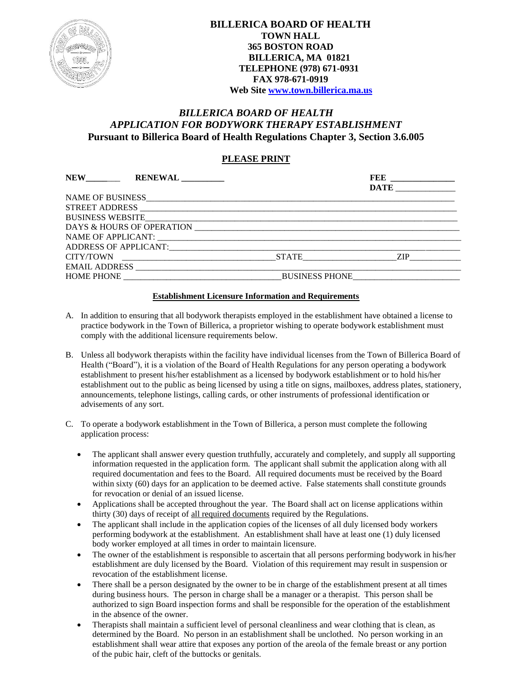

# *BILLERICA BOARD OF HEALTH APPLICATION FOR BODYWORK THERAPY ESTABLISHMENT* **Pursuant to Billerica Board of Health Regulations Chapter 3, Section 3.6.005**

# **PLEASE PRINT**

| NEW RENEWAL      |                                                |             |
|------------------|------------------------------------------------|-------------|
|                  |                                                | <b>DATE</b> |
|                  |                                                |             |
|                  |                                                |             |
| BUSINESS WEBSITE |                                                |             |
|                  |                                                |             |
|                  |                                                |             |
|                  |                                                |             |
|                  |                                                |             |
|                  |                                                |             |
|                  | HOME PHONE THE SERVICE SERVICES BUSINESS PHONE |             |

#### **Establishment Licensure Information and Requirements**

- A. In addition to ensuring that all bodywork therapists employed in the establishment have obtained a license to practice bodywork in the Town of Billerica, a proprietor wishing to operate bodywork establishment must comply with the additional licensure requirements below.
- B. Unless all bodywork therapists within the facility have individual licenses from the Town of Billerica Board of Health ("Board"), it is a violation of the Board of Health Regulations for any person operating a bodywork establishment to present his/her establishment as a licensed by bodywork establishment or to hold his/her establishment out to the public as being licensed by using a title on signs, mailboxes, address plates, stationery, announcements, telephone listings, calling cards, or other instruments of professional identification or advisements of any sort.
- C. To operate a bodywork establishment in the Town of Billerica, a person must complete the following application process:
	- The applicant shall answer every question truthfully, accurately and completely, and supply all supporting information requested in the application form. The applicant shall submit the application along with all required documentation and fees to the Board. All required documents must be received by the Board within sixty (60) days for an application to be deemed active. False statements shall constitute grounds for revocation or denial of an issued license.
	- Applications shall be accepted throughout the year. The Board shall act on license applications within thirty (30) days of receipt of all required documents required by the Regulations.
	- The applicant shall include in the application copies of the licenses of all duly licensed body workers performing bodywork at the establishment. An establishment shall have at least one (1) duly licensed body worker employed at all times in order to maintain licensure.
	- The owner of the establishment is responsible to ascertain that all persons performing bodywork in his/her establishment are duly licensed by the Board. Violation of this requirement may result in suspension or revocation of the establishment license.
	- There shall be a person designated by the owner to be in charge of the establishment present at all times during business hours. The person in charge shall be a manager or a therapist. This person shall be authorized to sign Board inspection forms and shall be responsible for the operation of the establishment in the absence of the owner.
	- Therapists shall maintain a sufficient level of personal cleanliness and wear clothing that is clean, as determined by the Board. No person in an establishment shall be unclothed. No person working in an establishment shall wear attire that exposes any portion of the areola of the female breast or any portion of the pubic hair, cleft of the buttocks or genitals.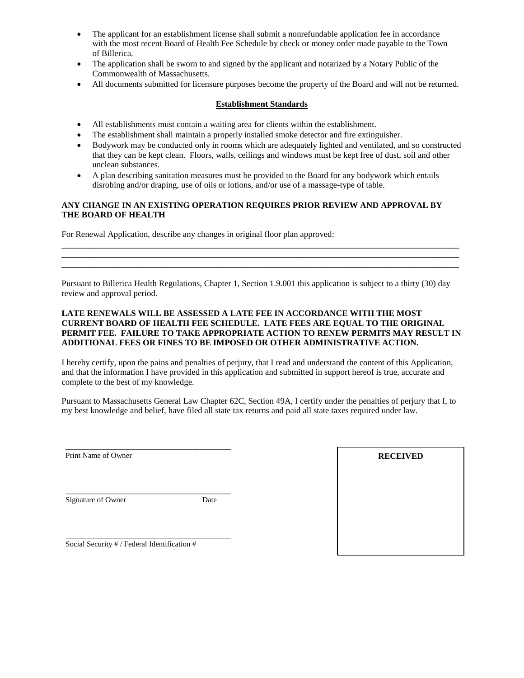- The applicant for an establishment license shall submit a nonrefundable application fee in accordance with the most recent Board of Health Fee Schedule by check or money order made payable to the Town of Billerica.
- The application shall be sworn to and signed by the applicant and notarized by a Notary Public of the Commonwealth of Massachusetts.
- All documents submitted for licensure purposes become the property of the Board and will not be returned.

## **Establishment Standards**

- All establishments must contain a waiting area for clients within the establishment.
- The establishment shall maintain a properly installed smoke detector and fire extinguisher.
- Bodywork may be conducted only in rooms which are adequately lighted and ventilated, and so constructed that they can be kept clean. Floors, walls, ceilings and windows must be kept free of dust, soil and other unclean substances.
- A plan describing sanitation measures must be provided to the Board for any bodywork which entails disrobing and/or draping, use of oils or lotions, and/or use of a massage-type of table.

### **ANY CHANGE IN AN EXISTING OPERATION REQUIRES PRIOR REVIEW AND APPROVAL BY THE BOARD OF HEALTH**

For Renewal Application, describe any changes in original floor plan approved:

Pursuant to Billerica Health Regulations, Chapter 1, Section 1.9.001 this application is subject to a thirty (30) day review and approval period.

**\_\_\_\_\_\_\_\_\_\_\_\_\_\_\_\_\_\_\_\_\_\_\_\_\_\_\_\_\_\_\_\_\_\_\_\_\_\_\_\_\_\_\_\_\_\_\_\_\_\_\_\_\_\_\_\_\_\_\_\_\_\_\_\_\_\_\_\_\_\_\_\_\_\_\_\_\_\_\_\_\_\_\_\_\_\_\_\_\_\_\_\_\_ \_\_\_\_\_\_\_\_\_\_\_\_\_\_\_\_\_\_\_\_\_\_\_\_\_\_\_\_\_\_\_\_\_\_\_\_\_\_\_\_\_\_\_\_\_\_\_\_\_\_\_\_\_\_\_\_\_\_\_\_\_\_\_\_\_\_\_\_\_\_\_\_\_\_\_\_\_\_\_\_\_\_\_\_\_\_\_\_\_\_\_\_\_ \_\_\_\_\_\_\_\_\_\_\_\_\_\_\_\_\_\_\_\_\_\_\_\_\_\_\_\_\_\_\_\_\_\_\_\_\_\_\_\_\_\_\_\_\_\_\_\_\_\_\_\_\_\_\_\_\_\_\_\_\_\_\_\_\_\_\_\_\_\_\_\_\_\_\_\_\_\_\_\_\_\_\_\_\_\_\_\_\_\_\_\_\_**

#### **LATE RENEWALS WILL BE ASSESSED A LATE FEE IN ACCORDANCE WITH THE MOST CURRENT BOARD OF HEALTH FEE SCHEDULE. LATE FEES ARE EQUAL TO THE ORIGINAL PERMIT FEE. FAILURE TO TAKE APPROPRIATE ACTION TO RENEW PERMITS MAY RESULT IN ADDITIONAL FEES OR FINES TO BE IMPOSED OR OTHER ADMINISTRATIVE ACTION.**

I hereby certify, upon the pains and penalties of perjury, that I read and understand the content of this Application, and that the information I have provided in this application and submitted in support hereof is true, accurate and complete to the best of my knowledge.

Pursuant to Massachusetts General Law Chapter 62C, Section 49A, I certify under the penalties of perjury that I, to my best knowledge and belief, have filed all state tax returns and paid all state taxes required under law.

\_\_\_\_\_\_\_\_\_\_\_\_\_\_\_\_\_\_\_\_\_\_\_\_\_\_\_\_\_\_\_\_\_\_\_\_\_\_\_\_\_\_\_ Print Name of Owner

Signature of Owner Date

\_\_\_\_\_\_\_\_\_\_\_\_\_\_\_\_\_\_\_\_\_\_\_\_\_\_\_\_\_\_\_\_\_\_\_\_\_\_\_\_\_\_\_

Social Security # / Federal Identification #

\_\_\_\_\_\_\_\_\_\_\_\_\_\_\_\_\_\_\_\_\_\_\_\_\_\_\_\_\_\_\_\_\_\_\_\_\_\_\_\_\_\_\_